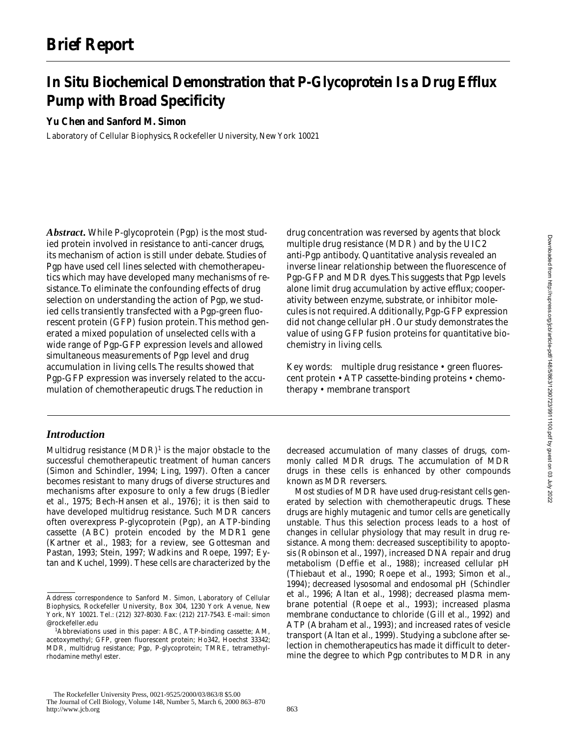# **In Situ Biochemical Demonstration that P-Glycoprotein Is a Drug Efflux Pump with Broad Specificity**

# **Yu Chen and Sanford M. Simon**

Laboratory of Cellular Biophysics, Rockefeller University, New York 10021

*Abstract.* While P-glycoprotein (Pgp) is the most studied protein involved in resistance to anti-cancer drugs, its mechanism of action is still under debate. Studies of Pgp have used cell lines selected with chemotherapeutics which may have developed many mechanisms of resistance. To eliminate the confounding effects of drug selection on understanding the action of Pgp, we studied cells transiently transfected with a Pgp-green fluorescent protein (GFP) fusion protein. This method generated a mixed population of unselected cells with a wide range of Pgp-GFP expression levels and allowed simultaneous measurements of Pgp level and drug accumulation in living cells. The results showed that Pgp-GFP expression was inversely related to the accumulation of chemotherapeutic drugs. The reduction in

# *Introduction*

Multidrug resistance  $(MDR)^1$  is the major obstacle to the successful chemotherapeutic treatment of human cancers (Simon and Schindler, 1994; Ling, 1997). Often a cancer becomes resistant to many drugs of diverse structures and mechanisms after exposure to only a few drugs (Biedler et al., 1975; Bech-Hansen et al., 1976); it is then said to have developed multidrug resistance. Such MDR cancers often overexpress P-glycoprotein (Pgp), an ATP-binding cassette (ABC) protein encoded by the *MDR1* gene (Kartner et al., 1983; for a review, see Gottesman and Pastan, 1993; Stein, 1997; Wadkins and Roepe, 1997; Eytan and Kuchel, 1999). These cells are characterized by the drug concentration was reversed by agents that block multiple drug resistance (MDR) and by the UIC2 anti-Pgp antibody. Quantitative analysis revealed an inverse linear relationship between the fluorescence of Pgp-GFP and MDR dyes. This suggests that Pgp levels alone limit drug accumulation by active efflux; cooperativity between enzyme, substrate, or inhibitor molecules is not required. Additionally, Pgp-GFP expression did not change cellular pH. Our study demonstrates the value of using GFP fusion proteins for quantitative biochemistry in living cells.

Key words: multiple drug resistance • green fluorescent protein • ATP cassette-binding proteins • chemotherapy • membrane transport

decreased accumulation of many classes of drugs, commonly called MDR drugs. The accumulation of MDR drugs in these cells is enhanced by other compounds known as MDR reversers.

Most studies of MDR have used drug-resistant cells generated by selection with chemotherapeutic drugs. These drugs are highly mutagenic and tumor cells are genetically unstable. Thus this selection process leads to a host of changes in cellular physiology that may result in drug resistance. Among them: decreased susceptibility to apoptosis (Robinson et al., 1997), increased DNA repair and drug metabolism (Deffie et al., 1988); increased cellular pH (Thiebaut et al., 1990; Roepe et al., 1993; Simon et al., 1994); decreased lysosomal and endosomal pH (Schindler et al., 1996; Altan et al., 1998); decreased plasma membrane potential (Roepe et al., 1993); increased plasma membrane conductance to chloride (Gill et al., 1992) and ATP (Abraham et al., 1993); and increased rates of vesicle transport (Altan et al., 1999). Studying a subclone after selection in chemotherapeutics has made it difficult to determine the degree to which Pgp contributes to MDR in any

Address correspondence to Sanford M. Simon, Laboratory of Cellular Biophysics, Rockefeller University, Box 304, 1230 York Avenue, New York, NY 10021. Tel.: (212) 327-8030. Fax: (212) 217-7543. E-mail: simon @rockefeller.edu

<sup>1</sup> *Abbreviations used in this paper:* ABC, ATP-binding cassette; AM, acetoxymethyl; GFP, green fluorescent protein; Ho342, Hoechst 33342; MDR, multidrug resistance; Pgp, P-glycoprotein; TMRE, tetramethylrhodamine methyl ester.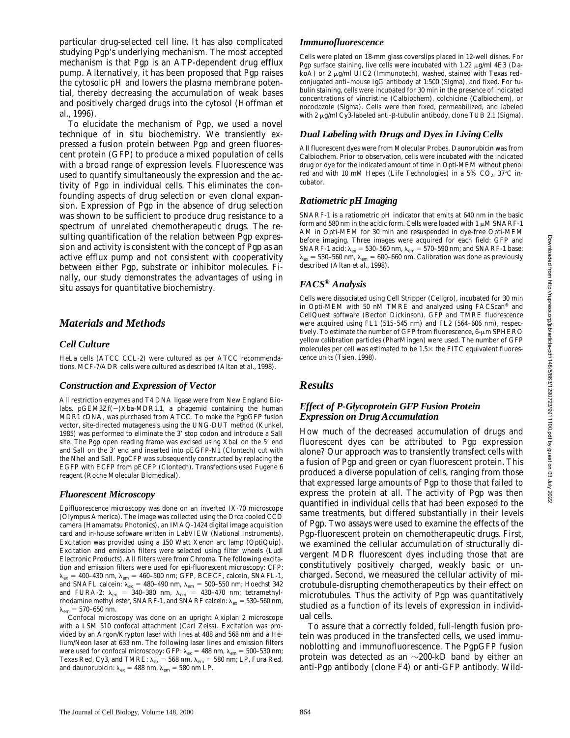particular drug-selected cell line. It has also complicated studying Pgp's underlying mechanism. The most accepted mechanism is that Pgp is an ATP-dependent drug efflux pump. Alternatively, it has been proposed that Pgp raises the cytosolic pH and lowers the plasma membrane potential, thereby decreasing the accumulation of weak bases and positively charged drugs into the cytosol (Hoffman et al., 1996).

To elucidate the mechanism of Pgp, we used a novel technique of in situ biochemistry. We transiently expressed a fusion protein between Pgp and green fluorescent protein (GFP) to produce a mixed population of cells with a broad range of expression levels. Fluorescence was used to quantify simultaneously the expression and the activity of Pgp in individual cells. This eliminates the confounding aspects of drug selection or even clonal expansion. Expression of Pgp in the absence of drug selection was shown to be sufficient to produce drug resistance to a spectrum of unrelated chemotherapeutic drugs. The resulting quantification of the relation between Pgp expression and activity is consistent with the concept of Pgp as an active efflux pump and not consistent with cooperativity between either Pgp, substrate or inhibitor molecules. Finally, our study demonstrates the advantages of using in situ assays for quantitative biochemistry.

# *Materials and Methods*

#### *Cell Culture*

HeLa cells (ATCC CCL-2) were cultured as per ATCC recommendations. MCF-7/ADR cells were cultured as described (Altan et al., 1998).

#### *Construction and Expression of Vector*

All restriction enzymes and T4 DNA ligase were from New England Biolabs.  $pGEM3Zf(-)Xba-MDR1.1$ , a phagemid containing the human *MDR1* cDNA, was purchased from ATCC. To make the PgpGFP fusion vector, site-directed mutagenesis using the UNG-DUT method (Kunkel, 1985) was performed to eliminate the 3' stop codon and introduce a SalI site. The Pgp open reading frame was excised using XbaI on the 5' end and SalI on the 3' end and inserted into pEGFP-N1 (Clontech) cut with the NheI and SalI. PgpCFP was subsequently constructed by replacing the EGFP with ECFP from pECFP (Clontech). Transfections used Fugene 6 reagent (Roche Molecular Biomedical).

#### *Fluorescent Microscopy*

Epifluorescence microscopy was done on an inverted IX-70 microscope (Olympus America). The image was collected using the Orca cooled CCD camera (Hamamatsu Photonics), an IMAQ-1424 digital image acquisition card and in-house software written in LabVIEW (National Instruments). Excitation was provided using a 150 Watt Xenon arc lamp (OptiQuip). Excitation and emission filters were selected using filter wheels (Ludl Electronic Products). All filters were from Chroma. The following excitation and emission filters were used for epi-fluorescent microscopy: CFP:  $\lambda_{\text{ex}} = 400-430$  nm,  $\lambda_{\text{em}} = 460-500$  nm; GFP, BCECF, calcein, SNAFL-1, and SNAFL calcein:  $\lambda_{\rm ex}$  = 480–490 nm,  $\lambda_{\rm em}$  = 500–550 nm; Hoechst 342 and FURA-2:  $\lambda_{\text{ex}} = 340-380$  nm,  $\lambda_{\text{em}} = 430-470$  nm; tetramethylrhodamine methyl ester, SNARF-1, and SNARF calcein:  $\lambda_{ex} = 530-560$  nm,  $\lambda_{em} = 570 - 650$  nm.

Confocal microscopy was done on an upright Axiplan 2 microscope with a LSM 510 confocal attachment (Carl Zeiss). Excitation was provided by an Argon/Krypton laser with lines at 488 and 568 nm and a Helium/Neon laser at 633 nm. The following laser lines and emission filters were used for confocal microscopy: GFP:  $\lambda_{ex} = 488$  nm,  $\lambda_{em} = 500$ –530 nm; Texas Red, Cy3, and TMRE:  $\lambda_{ex} = 568$  nm,  $\lambda_{em} = 580$  nm; LP, Fura Red, and daunorubicin:  $\lambda_{ex} = 488$  nm,  $\lambda_{em} = 580$  nm LP.

#### *Immunofluorescence*

Cells were plated on 18-mm glass coverslips placed in 12-well dishes. For Pgp surface staining, live cells were incubated with 1.22  $\mu$ g/ml 4E3 (DakoA) or 2  $\mu$ g/ml UIC2 (Immunotech), washed, stained with Texas red– conjugated anti–mouse IgG antibody at 1:500 (Sigma), and fixed. For tubulin staining, cells were incubated for 30 min in the presence of indicated concentrations of vincristine (Calbiochem), colchicine (Calbiochem), or nocodazole (Sigma). Cells were then fixed, permeabilized, and labeled with 2  $\mu$ g/ml Cy3-labeled anti- $\beta$ -tubulin antibody, clone TUB 2.1 (Sigma).

#### *Dual Labeling with Drugs and Dyes in Living Cells*

All fluorescent dyes were from Molecular Probes. Daunorubicin was from Calbiochem. Prior to observation, cells were incubated with the indicated drug or dye for the indicated amount of time in Opti-MEM without phenol red and with 10 mM Hepes (Life Technologies) in a 5%  $CO<sub>2</sub>$ , 37°C incubator.

#### *Ratiometric pH Imaging*

SNARF-1 is a ratiometric pH indicator that emits at 640 nm in the basic form and 580 nm in the acidic form. Cells were loaded with 1  $\mu$ M SNARF-1 AM in Opti-MEM for 30 min and resuspended in dye-free Opti-MEM before imaging. Three images were acquired for each field: GFP and SNARF-1 acid:  $\lambda_{ex} = 530-560$  nm,  $\lambda_{em} = 570-590$  nm; and SNARF-1 base:  $\lambda_{\text{ex}} = 530$ –560 nm,  $\lambda_{\text{em}} = 600$ –660 nm. Calibration was done as previously described (Altan et al., 1998).

# *FACS® Analysis*

Cells were dissociated using Cell Stripper (Cellgro), incubated for 30 min in Opti-MEM with 50 nM TMRE and analyzed using FACScan® and CellQuest software (Becton Dickinson). GFP and TMRE fluorescence were acquired using FL1 (515–545 nm) and FL2 (564–606 nm), respectively. To estimate the number of GFP from fluorescence, 6-µm SPHERO yellow calibration particles (PharMingen) were used. The number of GFP molecules per cell was estimated to be  $1.5\times$  the FITC equivalent fluorescence units (Tsien, 1998).

#### *Results*

## *Effect of P-Glycoprotein GFP Fusion Protein Expression on Drug Accumulation*

How much of the decreased accumulation of drugs and fluorescent dyes can be attributed to Pgp expression alone? Our approach was to transiently transfect cells with a fusion of Pgp and green or cyan fluorescent protein. This produced a diverse population of cells, ranging from those that expressed large amounts of Pgp to those that failed to express the protein at all. The activity of Pgp was then quantified in individual cells that had been exposed to the same treatments, but differed substantially in their levels of Pgp. Two assays were used to examine the effects of the Pgp-fluorescent protein on chemotherapeutic drugs. First, we examined the cellular accumulation of structurally divergent MDR fluorescent dyes including those that are constitutively positively charged, weakly basic or uncharged. Second, we measured the cellular activity of microtubule-disrupting chemotherapeutics by their effect on microtubules. Thus the activity of Pgp was quantitatively studied as a function of its levels of expression in individual cells.

To assure that a correctly folded, full-length fusion protein was produced in the transfected cells, we used immunoblotting and immunofluorescence. The PgpGFP fusion protein was detected as an  $\sim$ 200-kD band by either an anti-Pgp antibody (clone F4) or anti-GFP antibody. Wild-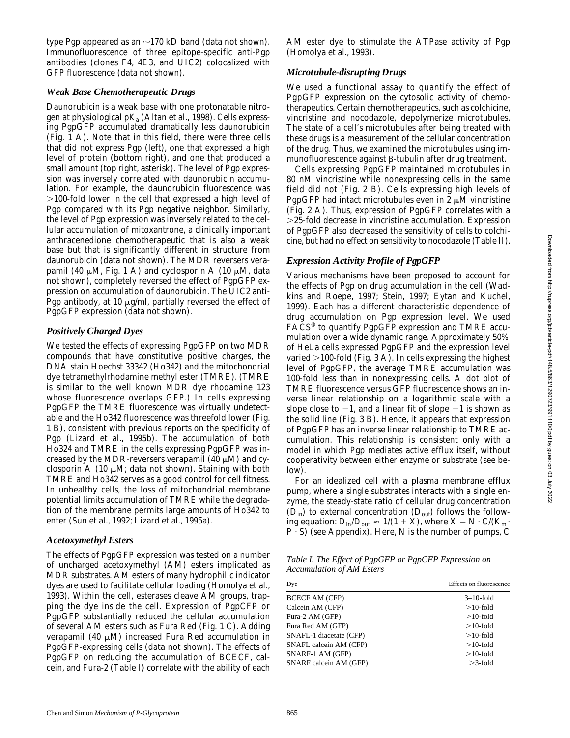type Pgp appeared as an  $\sim$ 170 kD band (data not shown). Immunofluorescence of three epitope-specific anti-Pgp antibodies (clones F4, 4E3, and UIC2) colocalized with GFP fluorescence (data not shown).

### *Weak Base Chemotherapeutic Drugs*

Daunorubicin is a weak base with one protonatable nitrogen at physiological  $pK_a$  (Altan et al., 1998). Cells expressing PgpGFP accumulated dramatically less daunorubicin (Fig. 1 A). Note that in this field, there were three cells that did not express Pgp (left), one that expressed a high level of protein (bottom right), and one that produced a small amount (top right, asterisk). The level of Pgp expression was inversely correlated with daunorubicin accumulation. For example, the daunorubicin fluorescence was .100-fold lower in the cell that expressed a high level of Pgp compared with its Pgp negative neighbor. Similarly, the level of Pgp expression was inversely related to the cellular accumulation of mitoxantrone, a clinically important anthracenedione chemotherapeutic that is also a weak base but that is significantly different in structure from daunorubicin (data not shown). The MDR reversers verapamil (40  $\mu$ M, Fig. 1 A) and cyclosporin A (10  $\mu$ M, data not shown), completely reversed the effect of PgpGFP expression on accumulation of daunorubicin. The UIC2 anti-Pgp antibody, at 10  $\mu$ g/ml, partially reversed the effect of PgpGFP expression (data not shown).

#### *Positively Charged Dyes*

We tested the effects of expressing PgpGFP on two MDR compounds that have constitutive positive charges, the DNA stain Hoechst 33342 (Ho342) and the mitochondrial dye tetramethylrhodamine methyl ester (TMRE). (TMRE is similar to the well known MDR dye rhodamine 123 whose fluorescence overlaps GFP.) In cells expressing PgpGFP the TMRE fluorescence was virtually undetectable and the Ho342 fluorescence was threefold lower (Fig. 1 B), consistent with previous reports on the specificity of Pgp (Lizard et al., 1995b). The accumulation of both Ho324 and TMRE in the cells expressing PgpGFP was increased by the MDR-reversers verapamil (40  $\mu$ M) and cyclosporin A (10  $\mu$ M; data not shown). Staining with both TMRE and Ho342 serves as a good control for cell fitness. In unhealthy cells, the loss of mitochondrial membrane potential limits accumulation of TMRE while the degradation of the membrane permits large amounts of Ho342 to enter (Sun et al., 1992; Lizard et al., 1995a).

#### *Acetoxymethyl Esters*

The effects of PgpGFP expression was tested on a number of uncharged acetoxymethyl (AM) esters implicated as MDR substrates. AM esters of many hydrophilic indicator dyes are used to facilitate cellular loading (Homolya et al., 1993). Within the cell, esterases cleave AM groups, trapping the dye inside the cell. Expression of PgpCFP or PgpGFP substantially reduced the cellular accumulation of several AM esters such as Fura Red (Fig. 1 C). Adding verapamil (40 mM) increased Fura Red accumulation in PgpGFP-expressing cells (data not shown). The effects of PgpGFP on reducing the accumulation of BCECF, calcein, and Fura-2 (Table I) correlate with the ability of each AM ester dye to stimulate the ATPase activity of Pgp (Homolya et al., 1993).

#### *Microtubule-disrupting Drugs*

We used a functional assay to quantify the effect of PgpGFP expression on the cytosolic activity of chemotherapeutics. Certain chemotherapeutics, such as colchicine, vincristine and nocodazole, depolymerize microtubules. The state of a cell's microtubules after being treated with these drugs is a measurement of the cellular concentration of the drug. Thus, we examined the microtubules using immunofluorescence against  $\beta$ -tubulin after drug treatment.

Cells expressing PgpGFP maintained microtubules in 80 nM vincristine while nonexpressing cells in the same field did not (Fig. 2 B). Cells expressing high levels of PgpGFP had intact microtubules even in  $2 \mu M$  vincristine (Fig. 2 A). Thus, expression of PgpGFP correlates with a .25-fold decrease in vincristine accumulation. Expression of PgpGFP also decreased the sensitivity of cells to colchicine, but had no effect on sensitivity to nocodazole (Table II).

#### *Expression Activity Profile of PgpGFP*

Various mechanisms have been proposed to account for the effects of Pgp on drug accumulation in the cell (Wadkins and Roepe, 1997; Stein, 1997; Eytan and Kuchel, 1999). Each has a different characteristic dependence of drug accumulation on Pgp expression level. We used FACS® to quantify PgpGFP expression and TMRE accumulation over a wide dynamic range. Approximately 50% of HeLa cells expressed PgpGFP and the expression level varied  $>$  100-fold (Fig. 3 A). In cells expressing the highest level of PgpGFP, the average TMRE accumulation was 100-fold less than in nonexpressing cells. A dot plot of TMRE fluorescence versus GFP fluorescence shows an inverse linear relationship on a logarithmic scale with a slope close to  $-1$ , and a linear fit of slope  $-1$  is shown as the solid line (Fig. 3 B). Hence, it appears that expression of PgpGFP has an inverse linear relationship to TMRE accumulation. This relationship is consistent only with a model in which Pgp mediates active efflux itself, without cooperativity between either enzyme or substrate (see below).

For an idealized cell with a plasma membrane efflux pump, where a single substrates interacts with a single enzyme, the steady-state ratio of cellular drug concentration  $(D_{in})$  to external concentration  $(D_{out})$  follows the following equation:  $D_{in}/D_{out} \approx 1/(1 + X)$ , where  $X = N \cdot C/(K_m \cdot$ *P* · *S)* (see Appendix). Here, *N* is the number of pumps, *C*

*Table I. The Effect of PgpGFP or PgpCFP Expression on Accumulation of AM Esters*

| Dye                     | Effects on fluorescence |
|-------------------------|-------------------------|
| <b>BCECF AM (CFP)</b>   | $3-10$ -fold            |
| Calcein AM (CFP)        | $>10$ -fold             |
| Fura-2 AM (GFP)         | $>10$ -fold             |
| Fura Red AM (GFP)       | $>10$ -fold             |
| SNAFL-1 diacetate (CFP) | $>10$ -fold             |
| SNAFL calcein AM (CFP)  | $>10$ -fold             |
| SNARF-1 AM (GFP)        | $>10$ -fold             |
| SNARF calcein AM (GFP)  | $>3$ -fold              |
|                         |                         |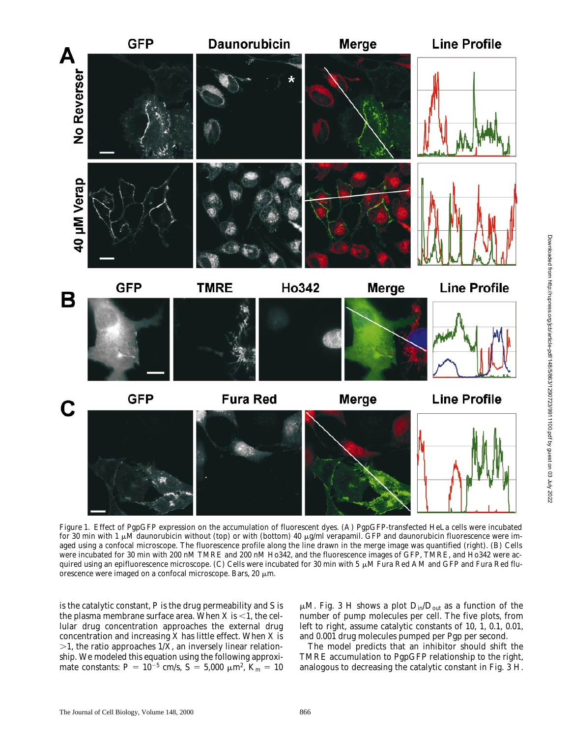

*Figure 1.* Effect of PgpGFP expression on the accumulation of fluorescent dyes. (A) PgpGFP-transfected HeLa cells were incubated for 30 min with 1  $\mu$ M daunorubicin without (top) or with (bottom) 40  $\mu$ g/ml verapamil. GFP and daunorubicin fluorescence were imaged using a confocal microscope. The fluorescence profile along the line drawn in the merge image was quantified (right). (B) Cells were incubated for 30 min with 200 nM TMRE and 200 nM Ho342, and the fluorescence images of GFP, TMRE, and Ho342 were acquired using an epifluorescence microscope. (C) Cells were incubated for 30 min with 5  $\mu$ M Fura Red AM and GFP and Fura Red fluorescence were imaged on a confocal microscope. Bars, 20  $\mu$ m.

is the catalytic constant, *P* is the drug permeability and *S* is the plasma membrane surface area. When  $X$  is  $\leq 1$ , the cellular drug concentration approaches the external drug concentration and increasing *X* has little effect. When *X* is  $>1$ , the ratio approaches  $1/X$ , an inversely linear relationship. We modeled this equation using the following approximate constants:  $P = 10^{-5}$  cm/s,  $S = 5,000$   $\mu$ m<sup>2</sup>,  $K_m = 10$ 

 $\mu$ M. Fig. 3 H shows a plot  $D_{in}/D_{out}$  as a function of the number of pump molecules per cell. The five plots, from left to right, assume catalytic constants of 10, 1, 0.1, 0.01, and 0.001 drug molecules pumped per Pgp per second.

The model predicts that an inhibitor should shift the TMRE accumulation to PgpGFP relationship to the right, analogous to decreasing the catalytic constant in Fig. 3 H.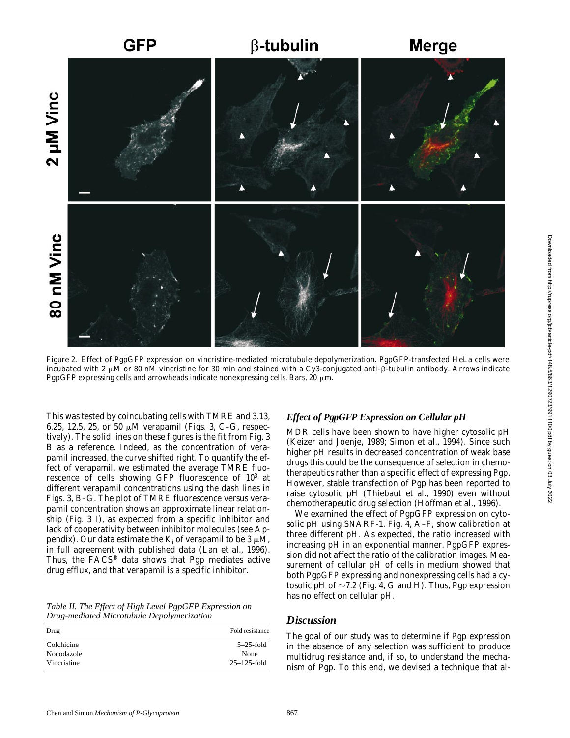

*Figure 2.* Effect of PgpGFP expression on vincristine-mediated microtubule depolymerization. PgpGFP-transfected HeLa cells were incubated with 2  $\mu$ M or 80 nM vincristine for 30 min and stained with a Cy3-conjugated anti- $\beta$ -tubulin antibody. Arrows indicate PgpGFP expressing cells and arrowheads indicate nonexpressing cells. Bars, 20  $\mu$ m.

This was tested by coincubating cells with TMRE and 3.13, 6.25, 12.5, 25, or 50  $\mu$ M verapamil (Figs. 3, C–G, respectively). The solid lines on these figures is the fit from Fig. 3 B as a reference. Indeed, as the concentration of verapamil increased, the curve shifted right. To quantify the effect of verapamil, we estimated the average TMRE fluorescence of cells showing GFP fluorescence of  $10^3$  at different verapamil concentrations using the dash lines in Figs. 3, B–G. The plot of TMRE fluorescence versus verapamil concentration shows an approximate linear relationship (Fig. 3 I), as expected from a specific inhibitor and lack of cooperativity between inhibitor molecules (see Appendix). Our data estimate the  $K_i$  of verapamil to be 3  $\mu$ M, in full agreement with published data (Lan et al., 1996). Thus, the FACS® data shows that Pgp mediates active drug efflux, and that verapamil is a specific inhibitor.

| Table II. The Effect of High Level PgpGFP Expression on |
|---------------------------------------------------------|
| Drug-mediated Microtubule Depolymerization              |

| Drug        | Fold resistance   |
|-------------|-------------------|
| Colchicine  | $5-25$ -fold      |
| Nocodazole  | None              |
| Vincristine | $25 - 125 - 6$ dd |

## *Effect of PgpGFP Expression on Cellular pH*

MDR cells have been shown to have higher cytosolic pH (Keizer and Joenje, 1989; Simon et al., 1994). Since such higher pH results in decreased concentration of weak base drugs this could be the consequence of selection in chemotherapeutics rather than a specific effect of expressing Pgp. However, stable transfection of Pgp has been reported to raise cytosolic pH (Thiebaut et al., 1990) even without chemotherapeutic drug selection (Hoffman et al., 1996).

We examined the effect of PgpGFP expression on cytosolic pH using SNARF-1. Fig. 4, A–F, show calibration at three different pH. As expected, the ratio increased with increasing pH in an exponential manner. PgpGFP expression did not affect the ratio of the calibration images. Measurement of cellular pH of cells in medium showed that both PgpGFP expressing and nonexpressing cells had a cytosolic pH of  $\sim$ 7.2 (Fig. 4, G and H). Thus, Pgp expression has no effect on cellular pH.

# *Discussion*

The goal of our study was to determine if Pgp expression in the absence of any selection was sufficient to produce multidrug resistance and, if so, to understand the mechanism of Pgp. To this end, we devised a technique that al-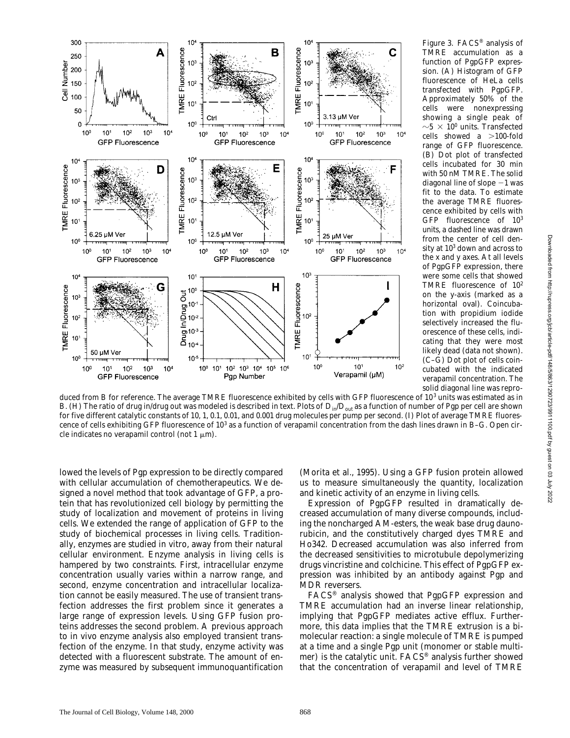

*Figure 3.* FACS® analysis of TMRE accumulation as a function of PgpGFP expression. (A) Histogram of GFP fluorescence of HeLa cells transfected with PgpGFP. Approximately 50% of the cells were nonexpressing showing a single peak of  ${\sim}5\,\times\,10^{\rm 0}$  units. Transfected cells showed a  $>100$ -fold range of GFP fluorescence. (B) Dot plot of transfected cells incubated for 30 min with 50 nM TMRE. The solid diagonal line of slope  $-1$  was fit to the data. To estimate the average TMRE fluorescence exhibited by cells with GFP fluorescence of 10<sup>3</sup> units, a dashed line was drawn from the center of cell density at  $10^3$  down and across to the x and y axes. At all levels of PgpGFP expression, there were some cells that showed TMRE fluorescence of 10<sup>2</sup> on the y-axis (marked as a horizontal oval). Coincubation with propidium iodide selectively increased the fluorescence of these cells, indicating that they were most likely dead (data not shown). (C–G) Dot plot of cells coincubated with the indicated verapamil concentration. The solid diagonal line was repro-

duced from B for reference. The average TMRE fluorescence exhibited by cells with GFP fluorescence of 10 $^3$  units was estimated as in B. (H) The ratio of drug in/drug out was modeled is described in text. Plots of *Din/Dout* as a function of number of Pgp per cell are shown for five different catalytic constants of 10, 1, 0.1, 0.01, and 0.001 drug molecules per pump per second. (I) Plot of average TMRE fluorescence of cells exhibiting GFP fluorescence of 10<sup>3</sup> as a function of verapamil concentration from the dash lines drawn in B–G. Open circle indicates no verapamil control (not 1  $\mu$ m).

lowed the levels of Pgp expression to be directly compared with cellular accumulation of chemotherapeutics. We designed a novel method that took advantage of GFP, a protein that has revolutionized cell biology by permitting the study of localization and movement of proteins in living cells. We extended the range of application of GFP to the study of biochemical processes in living cells. Traditionally, enzymes are studied in vitro, away from their natural cellular environment. Enzyme analysis in living cells is hampered by two constraints. First, intracellular enzyme concentration usually varies within a narrow range, and second, enzyme concentration and intracellular localization cannot be easily measured. The use of transient transfection addresses the first problem since it generates a large range of expression levels. Using GFP fusion proteins addresses the second problem. A previous approach to in vivo enzyme analysis also employed transient transfection of the enzyme. In that study, enzyme activity was detected with a fluorescent substrate. The amount of enzyme was measured by subsequent immunoquantification (Morita et al., 1995). Using a GFP fusion protein allowed us to measure simultaneously the quantity, localization and kinetic activity of an enzyme in living cells.

Expression of PgpGFP resulted in dramatically decreased accumulation of many diverse compounds, including the noncharged AM-esters, the weak base drug daunorubicin, and the constitutively charged dyes TMRE and Ho342. Decreased accumulation was also inferred from the decreased sensitivities to microtubule depolymerizing drugs vincristine and colchicine. This effect of PgpGFP expression was inhibited by an antibody against Pgp and MDR reversers.

FACS® analysis showed that PgpGFP expression and TMRE accumulation had an inverse linear relationship, implying that PgpGFP mediates active efflux. Furthermore, this data implies that the TMRE extrusion is a bimolecular reaction: a single molecule of TMRE is pumped at a time and a single Pgp unit (monomer or stable multimer) is the catalytic unit. FACS® analysis further showed that the concentration of verapamil and level of TMRE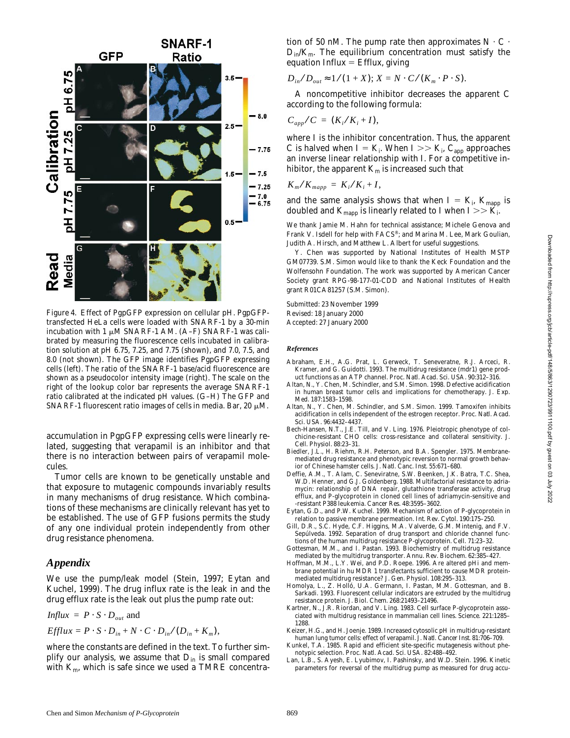

*Figure 4.* Effect of PgpGFP expression on cellular pH. PgpGFPtransfected HeLa cells were loaded with SNARF-1 by a 30-min incubation with 1  $\mu$ M SNARF-1 AM. (A–F) SNARF-1 was calibrated by measuring the fluorescence cells incubated in calibration solution at pH 6.75, 7.25, and 7.75 (shown), and 7.0, 7.5, and 8.0 (not shown). The GFP image identifies PgpGFP expressing cells (left). The ratio of the SNARF-1 base/acid fluorescence are shown as a pseudocolor intensity image (right). The scale on the right of the lookup color bar represents the average SNARF-1 ratio calibrated at the indicated pH values. (G–H) The GFP and SNARF-1 fluorescent ratio images of cells in media. Bar, 20  $\mu$ M.

accumulation in PgpGFP expressing cells were linearly related, suggesting that verapamil is an inhibitor and that there is no interaction between pairs of verapamil molecules.

Tumor cells are known to be genetically unstable and that exposure to mutagenic compounds invariably results in many mechanisms of drug resistance. Which combinations of these mechanisms are clinically relevant has yet to be established. The use of GFP fusions permits the study of any one individual protein independently from other drug resistance phenomena.

#### *Appendix*

We use the pump/leak model (Stein, 1997; Eytan and Kuchel, 1999). The drug influx rate is the leak in and the drug efflux rate is the leak out plus the pump rate out:

$$
Influx = P \cdot S \cdot D_{out} \text{ and}
$$
  
Efflux = P \cdot S \cdot D\_{in} + N \cdot C \cdot D\_{in}/(D\_{in} + K\_m),

where the constants are defined in the text. To further simplify our analysis, we assume that *Din* is small compared with  $K_{\text{m}}$ , which is safe since we used a TMRE concentra-

tion of 50 nM. The pump rate then approximates  $N \cdot C \cdot$  $D_{in}/K_{in}$ . The equilibrium concentration must satisfy the equation  $Influx = Efflux$ , giving

$$
D_{in}/D_{out} \approx 1/(1+X); X = N \cdot C/(K_m \cdot P \cdot S).
$$

A noncompetitive inhibitor decreases the apparent *C* according to the following formula:

$$
C_{app}/C = (K_i/K_i + I),
$$

where *I* is the inhibitor concentration. Thus, the apparent *C* is halved when  $I = K_i$ . When  $I \gg K_i$ ,  $C_{app}$  approaches an inverse linear relationship with *I*. For a competitive inhibitor, the apparent  $K_m$  is increased such that

$$
K_m/K_{mapp} = K_i/K_i + I,
$$

and the same analysis shows that when  $I = K_i$ ,  $K_{mapp}$  is doubled and  $K_{mapp}$  is linearly related to *I* when  $I>>\bar{K_i}$ 

We thank Jamie M. Hahn for technical assistance; Michele Genova and Frank V. Isdell for help with FACS®; and Marina M. Lee, Mark Goulian, Judith A. Hirsch, and Matthew L. Albert for useful suggestions.

Y. Chen was supported by National Institutes of Health MSTP GM07739. S.M. Simon would like to thank the Keck Foundation and the Wolfensohn Foundation. The work was supported by American Cancer Society grant RPG-98-177-01-CDD and National Institutes of Health grant R01CA81257 (S.M. Simon).

Submitted: 23 November 1999 Revised: 18 January 2000 Accepted: 27 January 2000

#### *References*

- Abraham, E.H., A.G. Prat, L. Gerweck, T. Seneveratne, R.J. Arceci, R. Kramer, and G. Guidotti. 1993. The multidrug resistance (*mdr1*) gene product functions as an ATP channel. *Proc. Natl. Acad. Sci. USA.* 90:312–316.
- Altan, N., Y. Chen, M. Schindler, and S.M. Simon. 1998. Defective acidification in human breast tumor cells and implications for chemotherapy. *J. Exp. Med.* 187:1583–1598.
- Altan, N., Y. Chen, M. Schindler, and S.M. Simon. 1999. Tamoxifen inhibits acidification in cells independent of the estrogen receptor. *Proc. Natl. Acad. Sci. USA.* 96:4432–4437.
- Bech-Hansen, N.T., J.E. Till, and V. Ling. 1976. Pleiotropic phenotype of colchicine-resistant CHO cells: cross-resistance and collateral sensitivity. *J. Cell. Physiol.* 88:23–31.
- Biedler, J.L., H. Riehm, R.H. Peterson, and B.A. Spengler. 1975. Membranemediated drug resistance and phenotypic reversion to normal growth behavior of Chinese hamster cells. *J. Natl. Canc. Inst.* 55:671–680.
- Deffie, A.M., T. Alam, C. Seneviratne, S.W. Beenken, J.K. Batra, T.C. Shea, W.D. Henner, and G.J. Goldenberg. 1988. Multifactorial resistance to adriamycin: relationship of DNA repair, glutathione transferase activity, drug efflux, and P-glycoprotein in cloned cell lines of adriamycin-sensitive and -resistant P388 leukemia. *Cancer Res.* 48:3595–3602.
- Eytan, G.D., and P.W. Kuchel. 1999. Mechanism of action of P-glycoprotein in relation to passive membrane permeation. *Int. Rev. Cytol.* 190:175–250.
- Gill, D.R., S.C. Hyde, C.F. Higgins, M.A. Valverde, G.M. Mintenig, and F.V. Sepúlveda. 1992. Separation of drug transport and chloride channel functions of the human multidrug resistance P-glycoprotein. *Cell.* 71:23–32.
- Gottesman, M.M., and I. Pastan. 1993. Biochemistry of multidrug resistance mediated by the multidrug transporter. *Annu. Rev. Biochem.* 62:385–427.
- Hoffman, M.M., L.Y. Wei, and P.D. Roepe. 1996. Are altered pHi and membrane potential in hu MDR 1 transfectants sufficient to cause MDR proteinmediated multidrug resistance? *J. Gen. Physiol.* 108:295–313.
- Homolya, L., Z. Holló, U.A. Germann, I. Pastan, M.M. Gottesman, and B. Sarkadi. 1993. Fluorescent cellular indicators are extruded by the multidrug resistance protein. *J. Biol. Chem.* 268:21493–21496.
- Kartner, N., J.R. Riordan, and V. Ling. 1983. Cell surface P-glycoprotein associated with multidrug resistance in mammalian cell lines. *Science.* 221:1285– 1288.
- Keizer, H.G., and H. Joenje. 1989. Increased cytosolic pH in multidrug-resistant human lung tumor cells: effect of verapamil. *J. Natl. Cancer Inst.* 81:706–709.
- Kunkel, T.A. 1985. Rapid and efficient site-specific mutagenesis without phenotypic selection. *Proc. Natl. Acad. Sci. USA.* 82:488–492.
- Lan, L.B., S. Ayesh, E. Lyubimov, I. Pashinsky, and W.D. Stein. 1996. Kinetic parameters for reversal of the multidrug pump as measured for drug accu-